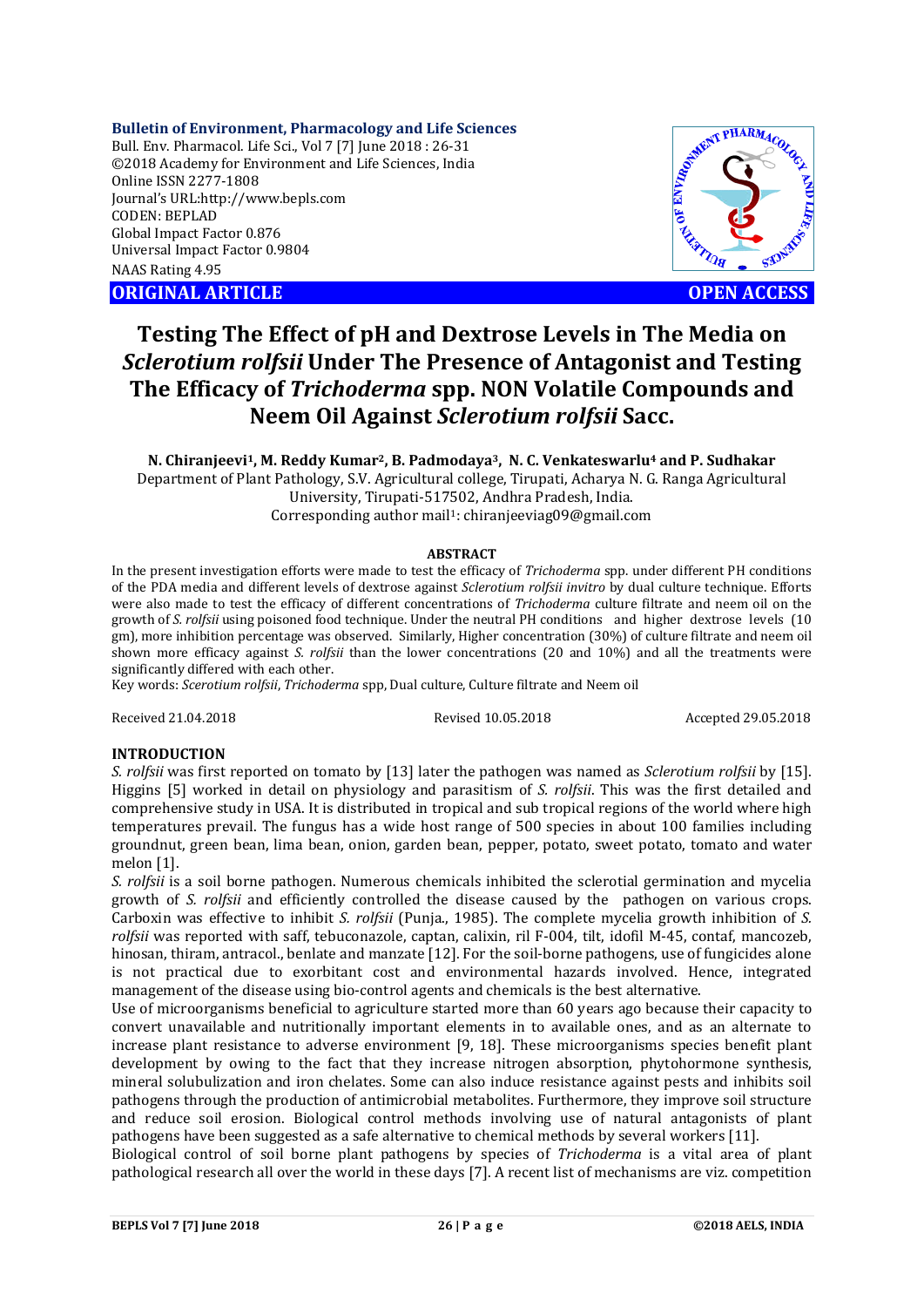**Bulletin of Environment, Pharmacology and Life Sciences**

Bull. Env. Pharmacol. Life Sci., Vol 7 [7] June 2018 : 26-31 ©2018 Academy for Environment and Life Sciences, India Online ISSN 2277-1808 Journal's URL:http://www.bepls.com CODEN: BEPLAD Global Impact Factor 0.876 Universal Impact Factor 0.9804 NAAS Rating 4.95 COLUMBER 1975<br>
Online ISSN 2277-1808<br>
Journal's URL:http://www.bepls.com<br>
CODEN: BEPLAD<br>
Clobal Impact Factor 0.876<br>
Universal Impact Factor 0.9804<br>
NAAS Rating 4.95<br>
ORIGINAL ARTICLE<br>
OPEN ACCESS



# **Testing The Effect of pH and Dextrose Levels in The Media on**  *Sclerotium rolfsii* **Under The Presence of Antagonist and Testing The Efficacy of** *Trichoderma* **spp. NON Volatile Compounds and Neem Oil Against** *Sclerotium rolfsii* **Sacc.**

**N. Chiranjeevi1, M. Reddy Kumar2, B. Padmodaya3, N. C. Venkateswarlu4 and P. Sudhakar** Department of Plant Pathology, S.V. Agricultural college, Tirupati, Acharya N. G. Ranga Agricultural University, Tirupati-517502, Andhra Pradesh, India. Corresponding author mail<sup>1</sup>: chiranjeeviag09@gmail.com

#### **ABSTRACT**

In the present investigation efforts were made to test the efficacy of *Trichoderma* spp. under different PH conditions of the PDA media and different levels of dextrose against *Sclerotium rolfsii invitro* by dual culture technique. Efforts were also made to test the efficacy of different concentrations of *Trichoderma* culture filtrate and neem oil on the growth of *S. rolfsii* using poisoned food technique. Under the neutral PH conditions and higher dextrose levels (10 gm), more inhibition percentage was observed. Similarly, Higher concentration (30%) of culture filtrate and neem oil shown more efficacy against *S. rolfsii* than the lower concentrations (20 and 10%) and all the treatments were significantly differed with each other.

Key words: *Scerotium rolfsii*, *Trichoderma* spp, Dual culture, Culture filtrate and Neem oil

Received 21.04.2018 Revised 10.05.2018 Accepted 29.05.2018

#### **INTRODUCTION**

*S. rolfsii* was first reported on tomato by [13] later the pathogen was named as *Sclerotium rolfsii* by [15]. Higgins [5] worked in detail on physiology and parasitism of *S. rolfsii*. This was the first detailed and comprehensive study in USA. It is distributed in tropical and sub tropical regions of the world where high temperatures prevail. The fungus has a wide host range of 500 species in about 100 families including groundnut, green bean, lima bean, onion, garden bean, pepper, potato, sweet potato, tomato and water melon [1].

*S. rolfsii* is a soil borne pathogen. Numerous chemicals inhibited the sclerotial germination and mycelia growth of *S. rolfsii* and efficiently controlled the disease caused by the pathogen on various crops. Carboxin was effective to inhibit *S. rolfsii* (Punja., 1985). The complete mycelia growth inhibition of *S. rolfsii* was reported with saff, tebuconazole, captan, calixin, ril F-004, tilt, idofil M-45, contaf, mancozeb, hinosan, thiram, antracol., benlate and manzate [12]. For the soil-borne pathogens, use of fungicides alone is not practical due to exorbitant cost and environmental hazards involved. Hence, integrated management of the disease using bio-control agents and chemicals is the best alternative.

Use of microorganisms beneficial to agriculture started more than 60 years ago because their capacity to convert unavailable and nutritionally important elements in to available ones, and as an alternate to increase plant resistance to adverse environment [9, 18]. These microorganisms species benefit plant development by owing to the fact that they increase nitrogen absorption, phytohormone synthesis, mineral solubulization and iron chelates. Some can also induce resistance against pests and inhibits soil pathogens through the production of antimicrobial metabolites. Furthermore, they improve soil structure and reduce soil erosion. Biological control methods involving use of natural antagonists of plant pathogens have been suggested as a safe alternative to chemical methods by several workers [11].

Biological control of soil borne plant pathogens by species of *Trichoderma* is a vital area of plant pathological research all over the world in these days [7]. A recent list of mechanisms are viz. competition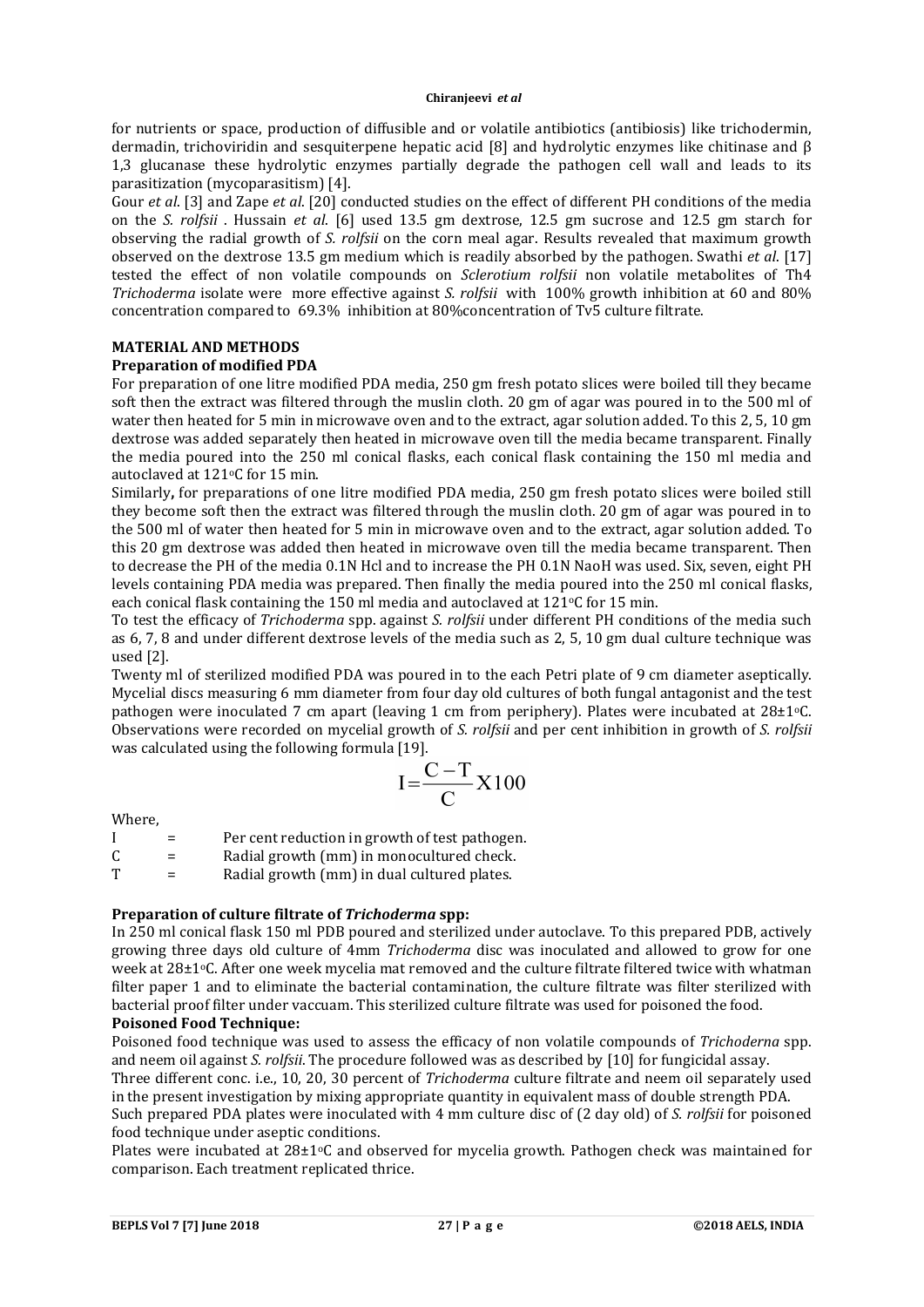#### **Chiranjeevi** *et al*

for nutrients or space, production of diffusible and or volatile antibiotics (antibiosis) like trichodermin, dermadin, trichoviridin and sesquiterpene hepatic acid [8] and hydrolytic enzymes like chitinase and β 1,3 glucanase these hydrolytic enzymes partially degrade the pathogen cell wall and leads to its parasitization (mycoparasitism) [4].

Gour *et al*. [3] and Zape *et al*. [20] conducted studies on the effect of different PH conditions of the media on the *S. rolfsii* . Hussain *et al*. [6] used 13.5 gm dextrose, 12.5 gm sucrose and 12.5 gm starch for observing the radial growth of *S. rolfsii* on the corn meal agar. Results revealed that maximum growth observed on the dextrose 13.5 gm medium which is readily absorbed by the pathogen. Swathi *et al*. [17] tested the effect of non volatile compounds on *Sclerotium rolfsii* non volatile metabolites of Th4 *Trichoderma* isolate were more effective against *S. rolfsii* with 100% growth inhibition at 60 and 80% concentration compared to 69.3% inhibition at 80%concentration of Tv5 culture filtrate.

## **MATERIAL AND METHODS**

## **Preparation of modified PDA**

For preparation of one litre modified PDA media, 250 gm fresh potato slices were boiled till they became soft then the extract was filtered through the muslin cloth. 20 gm of agar was poured in to the 500 ml of water then heated for 5 min in microwave oven and to the extract, agar solution added. To this 2, 5, 10 gm dextrose was added separately then heated in microwave oven till the media became transparent. Finally the media poured into the 250 ml conical flasks, each conical flask containing the 150 ml media and autoclaved at 121°C for 15 min.

Similarly**,** for preparations of one litre modified PDA media, 250 gm fresh potato slices were boiled still they become soft then the extract was filtered through the muslin cloth. 20 gm of agar was poured in to the 500 ml of water then heated for 5 min in microwave oven and to the extract, agar solution added. To this 20 gm dextrose was added then heated in microwave oven till the media became transparent. Then to decrease the PH of the media 0.1N Hcl and to increase the PH 0.1N NaoH was used. Six, seven, eight PH levels containing PDA media was prepared. Then finally the media poured into the 250 ml conical flasks, each conical flask containing the 150 ml media and autoclaved at  $121\degree C$  for 15 min.

To test the efficacy of *Trichoderma* spp. against *S. rolfsii* under different PH conditions of the media such as 6, 7, 8 and under different dextrose levels of the media such as 2, 5, 10 gm dual culture technique was used [2].

Twenty ml of sterilized modified PDA was poured in to the each Petri plate of 9 cm diameter aseptically. Mycelial discs measuring 6 mm diameter from four day old cultures of both fungal antagonist and the test pathogen were inoculated 7 cm apart (leaving 1 cm from periphery). Plates were incubated at  $28\pm1$ <sup>o</sup>C. Observations were recorded on mycelial growth of *S. rolfsii* and per cent inhibition in growth of *S. rolfsii* was calculated using the following formula [19].

$$
I = \frac{C - T}{C} X 100
$$

Where,

|   | $=$ | Per cent reduction in growth of test pathogen. |
|---|-----|------------------------------------------------|
| C | $=$ | Radial growth (mm) in monocultured check.      |
| Т | $=$ | Radial growth (mm) in dual cultured plates.    |

## **Preparation of culture filtrate of** *Trichoderma* **spp:**

In 250 ml conical flask 150 ml PDB poured and sterilized under autoclave. To this prepared PDB, actively growing three days old culture of 4mm *Trichoderma* disc was inoculated and allowed to grow for one week at 28±1°C. After one week mycelia mat removed and the culture filtrate filtered twice with whatman filter paper 1 and to eliminate the bacterial contamination, the culture filtrate was filter sterilized with bacterial proof filter under vaccuam. This sterilized culture filtrate was used for poisoned the food.

## **Poisoned Food Technique:**

Poisoned food technique was used to assess the efficacy of non volatile compounds of *Trichoderna* spp. and neem oil against *S. rolfsii*. The procedure followed was as described by [10] for fungicidal assay.

Three different conc. i.e., 10, 20, 30 percent of *Trichoderma* culture filtrate and neem oil separately used in the present investigation by mixing appropriate quantity in equivalent mass of double strength PDA.

Such prepared PDA plates were inoculated with 4 mm culture disc of (2 day old) of *S. rolfsii* for poisoned food technique under aseptic conditions.

Plates were incubated at  $28\pm1$ <sup>o</sup>C and observed for mycelia growth. Pathogen check was maintained for comparison. Each treatment replicated thrice.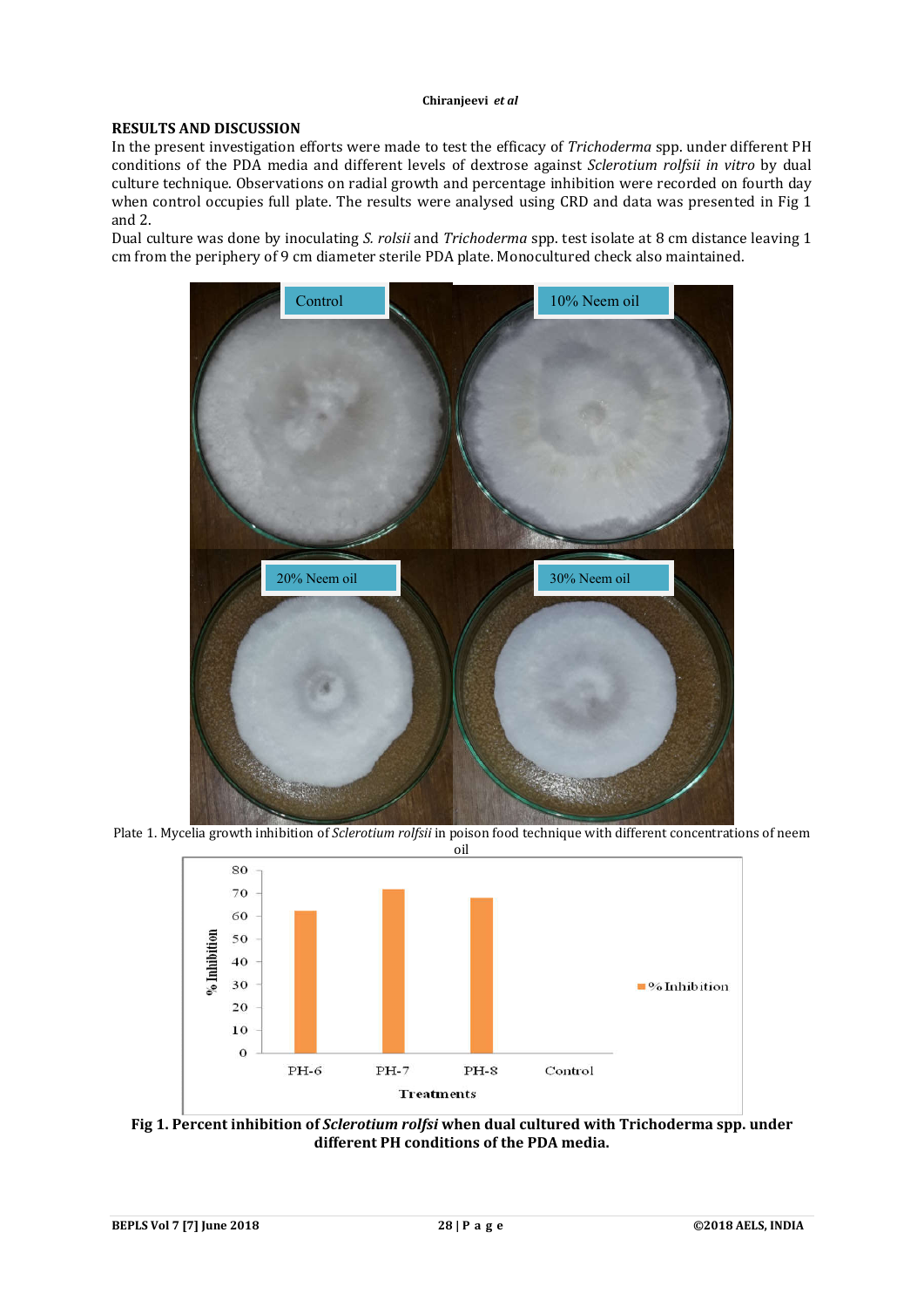#### **RESULTS AND DISCUSSION**

In the present investigation efforts were made to test the efficacy of *Trichoderma* spp. under different PH conditions of the PDA media and different levels of dextrose against *Sclerotium rolfsii in vitro* by dual culture technique. Observations on radial growth and percentage inhibition were recorded on fourth day when control occupies full plate. The results were analysed using CRD and data was presented in Fig 1 and 2.

Dual culture was done by inoculating *S. rolsii* and *Trichoderma* spp. test isolate at 8 cm distance leaving 1 cm from the periphery of 9 cm diameter sterile PDA plate. Monocultured check also maintained.



Plate 1. Mycelia growth inhibition of *Sclerotium rolfsii* in poison food technique with different concentrations of neem



**Fig 1. Percent inhibition of** *Sclerotium rolfsi* **when dual cultured with Trichoderma spp. under different PH conditions of the PDA media.**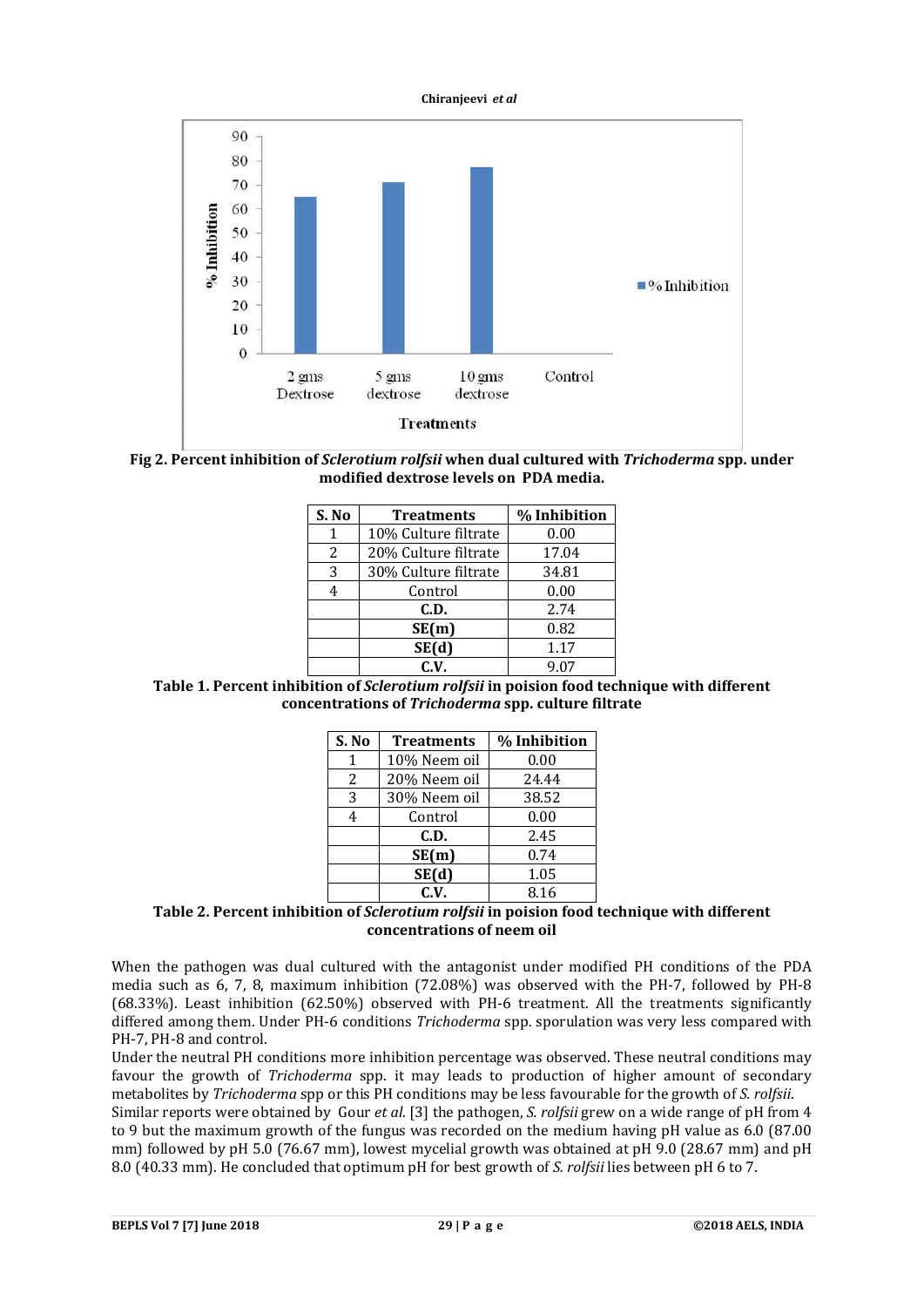



**Fig 2. Percent inhibition of** *Sclerotium rolfsii* **when dual cultured with** *Trichoderma* **spp. under modified dextrose levels on PDA media.**

| S. No | <b>Treatments</b>    | % Inhibition |
|-------|----------------------|--------------|
|       | 10% Culture filtrate | 0.00         |
| 2     | 20% Culture filtrate | 17.04        |
| 3     | 30% Culture filtrate | 34.81        |
|       | Control              | 0.00         |
|       | C.D.                 | 2.74         |
|       | SE(m)                | 0.82         |
|       | SE(d)                | 1.17         |
|       | C.V.                 | 9.07         |

**Table 1. Percent inhibition of** *Sclerotium rolfsii* **in poision food technique with different concentrations of** *Trichoderma* **spp. culture filtrate**

| S. No | <b>Treatments</b> | % Inhibition |
|-------|-------------------|--------------|
| 1     | 10% Neem oil      | 0.00         |
| 2     | 20% Neem oil      | 24.44        |
| 3     | 30% Neem oil      | 38.52        |
| 4     | Control           | 0.00         |
|       | C.D.              | 2.45         |
|       | SE(m)             | 0.74         |
|       | SE(d)             | 1.05         |
|       | C.V.              | 8.16         |

## **Table 2. Percent inhibition of** *Sclerotium rolfsii* **in poision food technique with different concentrations of neem oil**

When the pathogen was dual cultured with the antagonist under modified PH conditions of the PDA media such as 6, 7, 8, maximum inhibition (72.08%) was observed with the PH-7, followed by PH-8 (68.33%). Least inhibition (62.50%) observed with PH-6 treatment. All the treatments significantly differed among them. Under PH-6 conditions *Trichoderma* spp. sporulation was very less compared with PH-7, PH-8 and control.

Under the neutral PH conditions more inhibition percentage was observed. These neutral conditions may favour the growth of *Trichoderma* spp. it may leads to production of higher amount of secondary metabolites by *Trichoderma* spp or this PH conditions may be less favourable for the growth of *S. rolfsii*.

Similar reports were obtained by Gour *et al*. [3] the pathogen, *S. rolfsii* grew on a wide range of pH from 4 to 9 but the maximum growth of the fungus was recorded on the medium having pH value as 6.0 (87.00 mm) followed by pH 5.0 (76.67 mm), lowest mycelial growth was obtained at pH 9.0 (28.67 mm) and pH 8.0 (40.33 mm). He concluded that optimum pH for best growth of *S. rolfsii* lies between pH 6 to 7.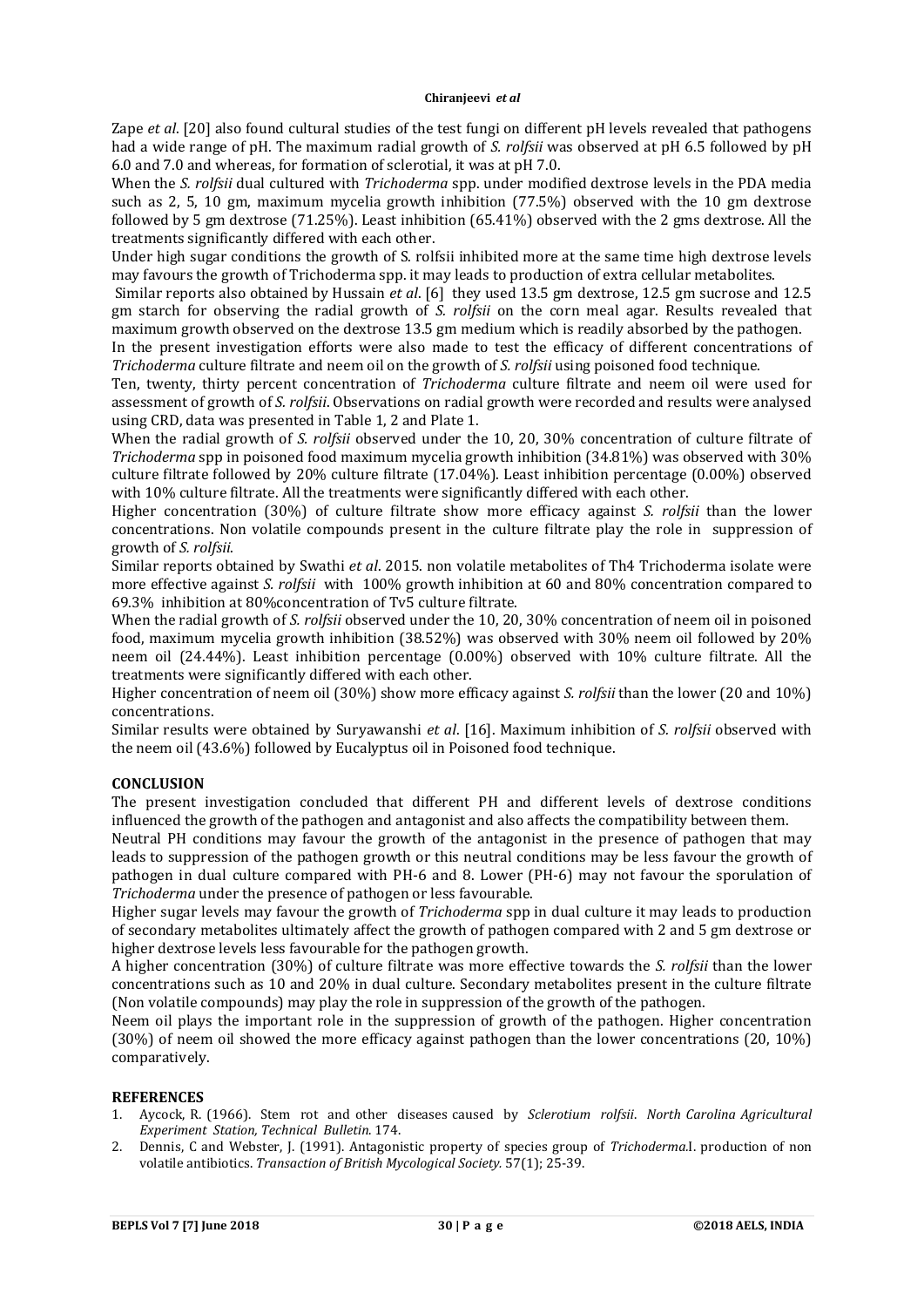#### **Chiranjeevi** *et al*

Zape *et al*. [20] also found cultural studies of the test fungi on different pH levels revealed that pathogens had a wide range of pH. The maximum radial growth of *S. rolfsii* was observed at pH 6.5 followed by pH 6.0 and 7.0 and whereas, for formation of sclerotial, it was at pH 7.0.

When the *S. rolfsii* dual cultured with *Trichoderma* spp. under modified dextrose levels in the PDA media such as 2, 5, 10 gm, maximum mycelia growth inhibition (77.5%) observed with the 10 gm dextrose followed by 5 gm dextrose (71.25%). Least inhibition (65.41%) observed with the 2 gms dextrose. All the treatments significantly differed with each other.

Under high sugar conditions the growth of S. rolfsii inhibited more at the same time high dextrose levels may favours the growth of Trichoderma spp. it may leads to production of extra cellular metabolites.

Similar reports also obtained by Hussain *et al*. [6] they used 13.5 gm dextrose, 12.5 gm sucrose and 12.5 gm starch for observing the radial growth of *S. rolfsii* on the corn meal agar. Results revealed that maximum growth observed on the dextrose 13.5 gm medium which is readily absorbed by the pathogen.

In the present investigation efforts were also made to test the efficacy of different concentrations of *Trichoderma* culture filtrate and neem oil on the growth of *S. rolfsii* using poisoned food technique.

Ten, twenty, thirty percent concentration of *Trichoderma* culture filtrate and neem oil were used for assessment of growth of *S. rolfsii*. Observations on radial growth were recorded and results were analysed using CRD, data was presented in Table 1, 2 and Plate 1.

When the radial growth of *S. rolfsii* observed under the 10, 20, 30% concentration of culture filtrate of *Trichoderma* spp in poisoned food maximum mycelia growth inhibition (34.81%) was observed with 30% culture filtrate followed by 20% culture filtrate (17.04%). Least inhibition percentage (0.00%) observed with 10% culture filtrate. All the treatments were significantly differed with each other.

Higher concentration (30%) of culture filtrate show more efficacy against *S. rolfsii* than the lower concentrations. Non volatile compounds present in the culture filtrate play the role in suppression of growth of *S. rolfsii*.

Similar reports obtained by Swathi *et al*. 2015. non volatile metabolites of Th4 Trichoderma isolate were more effective against *S. rolfsii* with 100% growth inhibition at 60 and 80% concentration compared to 69.3% inhibition at 80%concentration of Tv5 culture filtrate.

When the radial growth of *S. rolfsii* observed under the 10, 20, 30% concentration of neem oil in poisoned food, maximum mycelia growth inhibition (38.52%) was observed with 30% neem oil followed by 20% neem oil (24.44%). Least inhibition percentage (0.00%) observed with 10% culture filtrate. All the treatments were significantly differed with each other.

Higher concentration of neem oil (30%) show more efficacy against *S. rolfsii* than the lower (20 and 10%) concentrations.

Similar results were obtained by Suryawanshi *et al*. [16]. Maximum inhibition of *S. rolfsii* observed with the neem oil (43.6%) followed by Eucalyptus oil in Poisoned food technique.

## **CONCLUSION**

The present investigation concluded that different PH and different levels of dextrose conditions influenced the growth of the pathogen and antagonist and also affects the compatibility between them.

Neutral PH conditions may favour the growth of the antagonist in the presence of pathogen that may leads to suppression of the pathogen growth or this neutral conditions may be less favour the growth of pathogen in dual culture compared with PH-6 and 8. Lower (PH-6) may not favour the sporulation of *Trichoderma* under the presence of pathogen or less favourable.

Higher sugar levels may favour the growth of *Trichoderma* spp in dual culture it may leads to production of secondary metabolites ultimately affect the growth of pathogen compared with 2 and 5 gm dextrose or higher dextrose levels less favourable for the pathogen growth.

A higher concentration (30%) of culture filtrate was more effective towards the *S. rolfsii* than the lower concentrations such as 10 and 20% in dual culture. Secondary metabolites present in the culture filtrate (Non volatile compounds) may play the role in suppression of the growth of the pathogen.

Neem oil plays the important role in the suppression of growth of the pathogen. Higher concentration (30%) of neem oil showed the more efficacy against pathogen than the lower concentrations (20, 10%) comparatively.

#### **REFERENCES**

- 1. Aycock, R. (1966). Stem rot and other diseases caused by *Sclerotium rolfsii*. *North Carolina Agricultural Experiment Station, Technical Bulletin*. 174.
- 2. Dennis, C and Webster, J. (1991). Antagonistic property of species group of *Trichoderma.*I. production of non volatile antibiotics. *Transaction of British Mycological Society.* 57(1); 25-39.